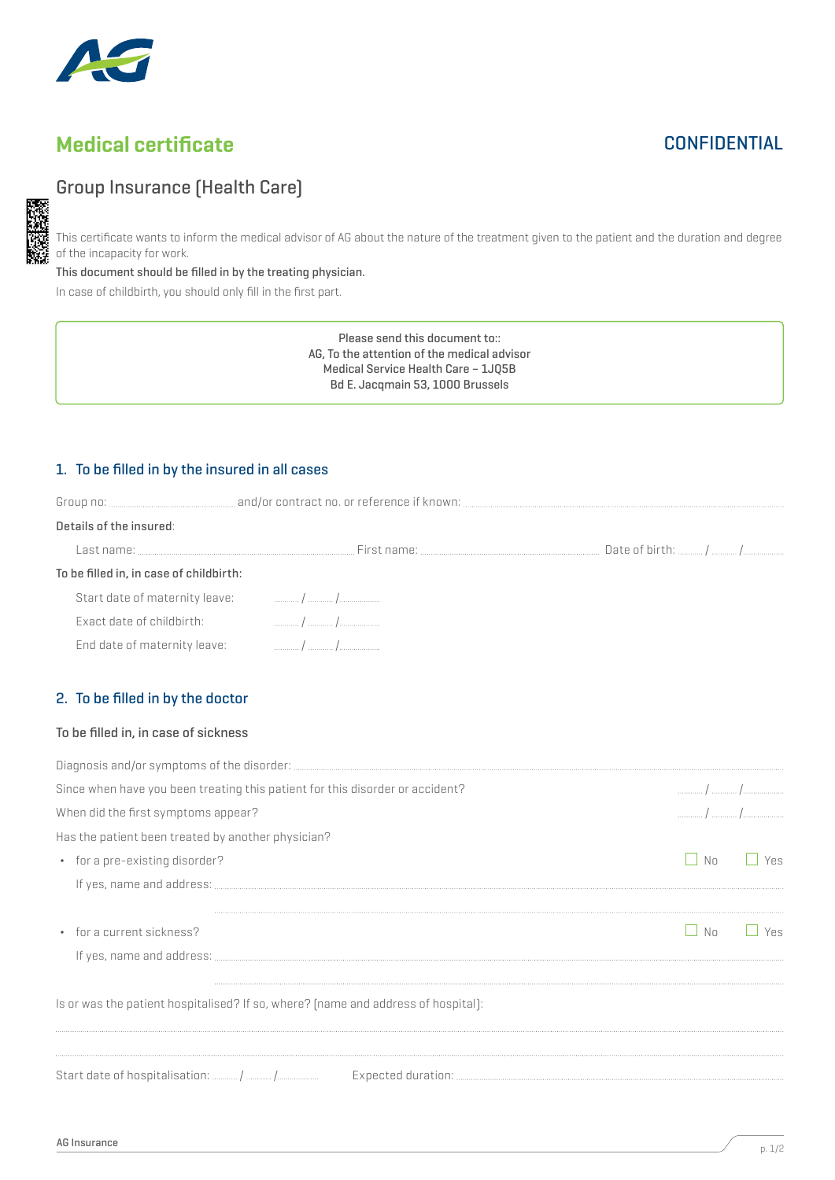

# Medical certificate

## **CONFIDENTIAL**

### Group Insurance (Health Care)

This certificate wants to inform the medical advisor of AG about the nature of the treatment given to the patient and the duration and degree of the incapacity for work.

This document should be filled in by the treating physician.

In case of childbirth, you should only fill in the first part.

Please send this document to:: AG, To the attention of the medical advisor Medical Service Health Care – 1JQ5B Bd E. Jacqmain 53, 1000 Brussels

### 1. To be filled in by the insured in all cases

| 1   1                        |                                                                                                                                                                                                                                                                           |
|------------------------------|---------------------------------------------------------------------------------------------------------------------------------------------------------------------------------------------------------------------------------------------------------------------------|
| End date of maternity leave: | To be filled in, in case of childbirth:<br>Start date of maternity leave: The Common Common Assembly Common Common Common Common Common Common Common Common Common Common Common Common Common Common Common Common Common Common Common Common Common Common Common Com |

### 2. To be filled in by the doctor

#### To be filled in, in case of sickness

| Since when have you been treating this patient for this disorder or accident?     |    |     |
|-----------------------------------------------------------------------------------|----|-----|
| When did the first symptoms appear?                                               |    |     |
| Has the patient been treated by another physician?                                |    |     |
| • for a pre-existing disorder?                                                    | No | Yes |
|                                                                                   |    |     |
|                                                                                   |    |     |
| • for a current sickness?                                                         | No | Yes |
|                                                                                   |    |     |
|                                                                                   |    |     |
| Is or was the patient hospitalised? If so, where? [name and address of hospital]: |    |     |
|                                                                                   |    |     |
|                                                                                   |    |     |
|                                                                                   |    |     |

p. 1/2 AG Insurance